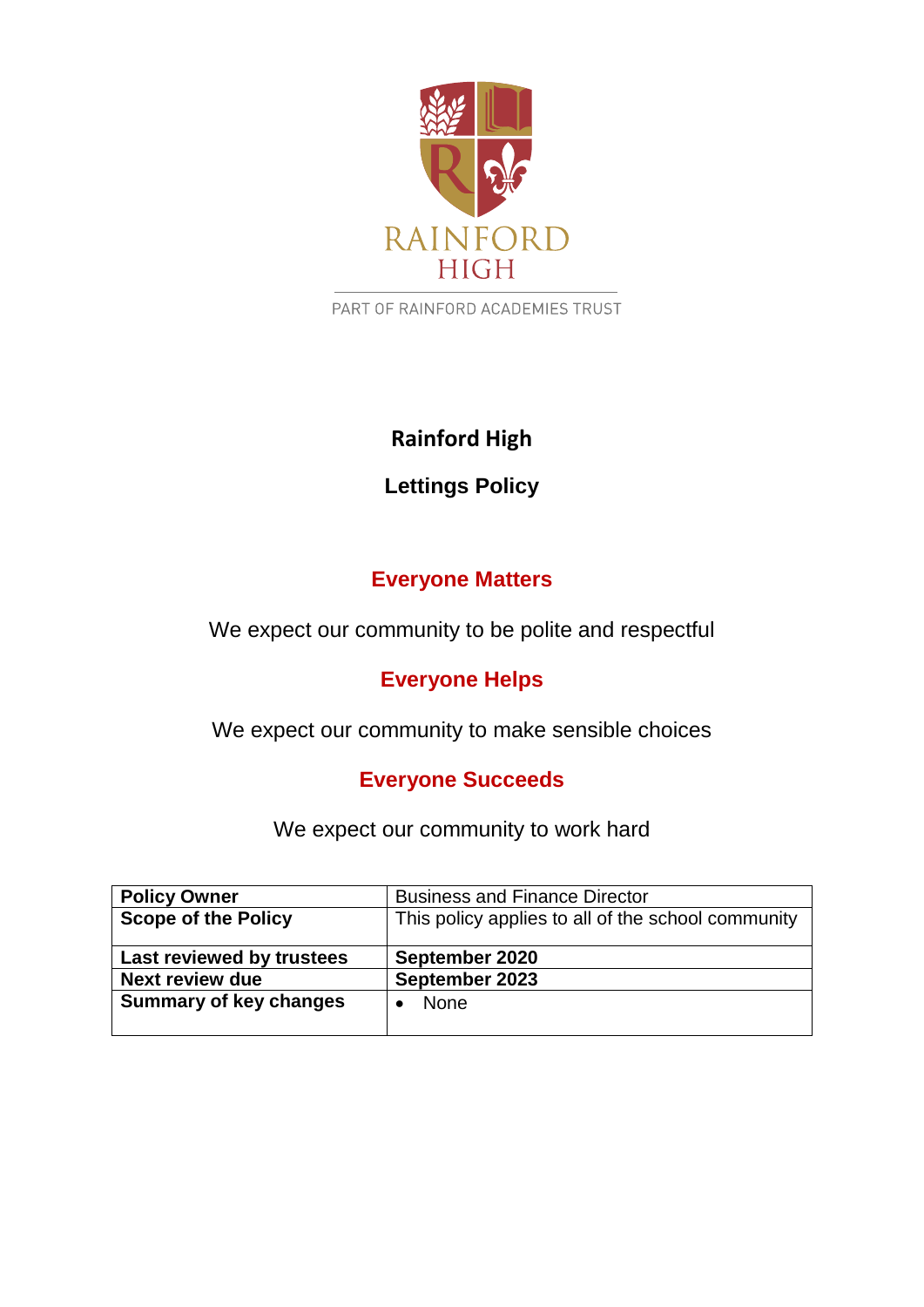

PART OF RAINFORD ACADEMIES TRUST

# **Rainford High**

### **Lettings Policy**

## **Everyone Matters**

We expect our community to be polite and respectful

# **Everyone Helps**

We expect our community to make sensible choices

## **Everyone Succeeds**

We expect our community to work hard

| <b>Policy Owner</b>           | <b>Business and Finance Director</b>               |
|-------------------------------|----------------------------------------------------|
| <b>Scope of the Policy</b>    | This policy applies to all of the school community |
|                               |                                                    |
| Last reviewed by trustees     | September 2020                                     |
| <b>Next review due</b>        | September 2023                                     |
| <b>Summary of key changes</b> | None                                               |
|                               |                                                    |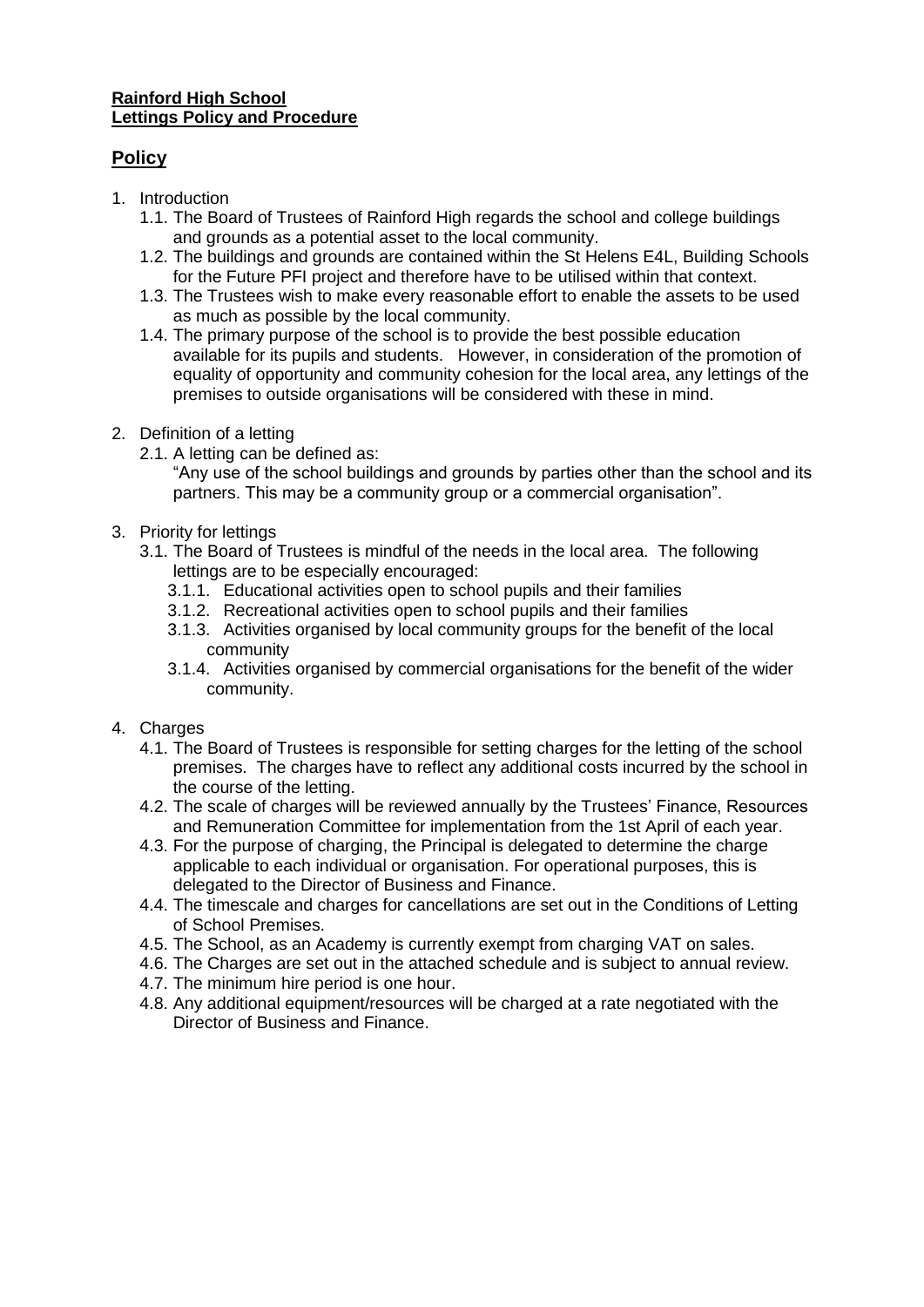#### **Rainford High School Lettings Policy and Procedure**

### **Policy**

- 1. Introduction
	- 1.1. The Board of Trustees of Rainford High regards the school and college buildings and grounds as a potential asset to the local community.
	- 1.2. The buildings and grounds are contained within the St Helens E4L, Building Schools for the Future PFI project and therefore have to be utilised within that context.
	- 1.3. The Trustees wish to make every reasonable effort to enable the assets to be used as much as possible by the local community.
	- 1.4. The primary purpose of the school is to provide the best possible education available for its pupils and students. However, in consideration of the promotion of equality of opportunity and community cohesion for the local area, any lettings of the premises to outside organisations will be considered with these in mind.
- 2. Definition of a letting
	- 2.1. A letting can be defined as:
		- "Any use of the school buildings and grounds by parties other than the school and its partners. This may be a community group or a commercial organisation".
- 3. Priority for lettings
	- 3.1. The Board of Trustees is mindful of the needs in the local area. The following lettings are to be especially encouraged:
		- 3.1.1. Educational activities open to school pupils and their families
		- 3.1.2. Recreational activities open to school pupils and their families
		- 3.1.3. Activities organised by local community groups for the benefit of the local community
		- 3.1.4. Activities organised by commercial organisations for the benefit of the wider community.
- 4. Charges
	- 4.1. The Board of Trustees is responsible for setting charges for the letting of the school premises. The charges have to reflect any additional costs incurred by the school in the course of the letting.
	- 4.2. The scale of charges will be reviewed annually by the Trustees' Finance, Resources and Remuneration Committee for implementation from the 1st April of each year.
	- 4.3. For the purpose of charging, the Principal is delegated to determine the charge applicable to each individual or organisation. For operational purposes, this is delegated to the Director of Business and Finance.
	- 4.4. The timescale and charges for cancellations are set out in the Conditions of Letting of School Premises.
	- 4.5. The School, as an Academy is currently exempt from charging VAT on sales.
	- 4.6. The Charges are set out in the attached schedule and is subject to annual review.
	- 4.7. The minimum hire period is one hour.
	- 4.8. Any additional equipment/resources will be charged at a rate negotiated with the Director of Business and Finance.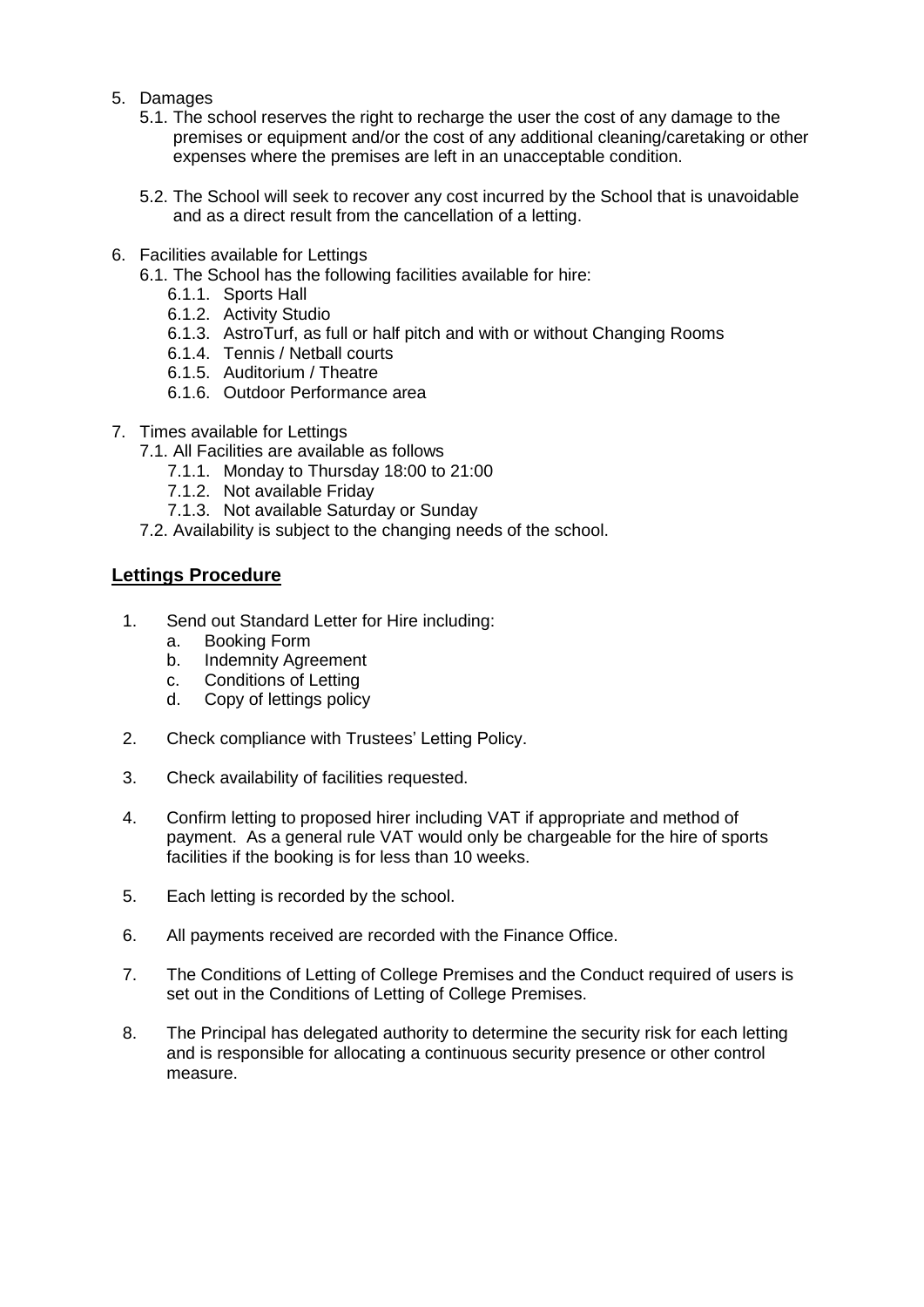- 5. Damages
	- 5.1. The school reserves the right to recharge the user the cost of any damage to the premises or equipment and/or the cost of any additional cleaning/caretaking or other expenses where the premises are left in an unacceptable condition.
	- 5.2. The School will seek to recover any cost incurred by the School that is unavoidable and as a direct result from the cancellation of a letting.
- 6. Facilities available for Lettings
	- 6.1. The School has the following facilities available for hire:
		- 6.1.1. Sports Hall
		- 6.1.2. Activity Studio
		- 6.1.3. AstroTurf, as full or half pitch and with or without Changing Rooms
		- 6.1.4. Tennis / Netball courts
		- 6.1.5. Auditorium / Theatre
		- 6.1.6. Outdoor Performance area
- 7. Times available for Lettings
	- 7.1. All Facilities are available as follows
		- 7.1.1. Monday to Thursday 18:00 to 21:00
		- 7.1.2. Not available Friday
		- 7.1.3. Not available Saturday or Sunday
	- 7.2. Availability is subject to the changing needs of the school.

### **Lettings Procedure**

- 1. Send out Standard Letter for Hire including:
	- a. Booking Form
	- b. Indemnity Agreement
	-
	- c. Conditions of Letting<br>d. Copy of lettings polic Copy of lettings policy
- 2. Check compliance with Trustees' Letting Policy.
- 3. Check availability of facilities requested.
- 4. Confirm letting to proposed hirer including VAT if appropriate and method of payment. As a general rule VAT would only be chargeable for the hire of sports facilities if the booking is for less than 10 weeks.
- 5. Each letting is recorded by the school.
- 6. All payments received are recorded with the Finance Office.
- 7. The Conditions of Letting of College Premises and the Conduct required of users is set out in the Conditions of Letting of College Premises.
- 8. The Principal has delegated authority to determine the security risk for each letting and is responsible for allocating a continuous security presence or other control measure.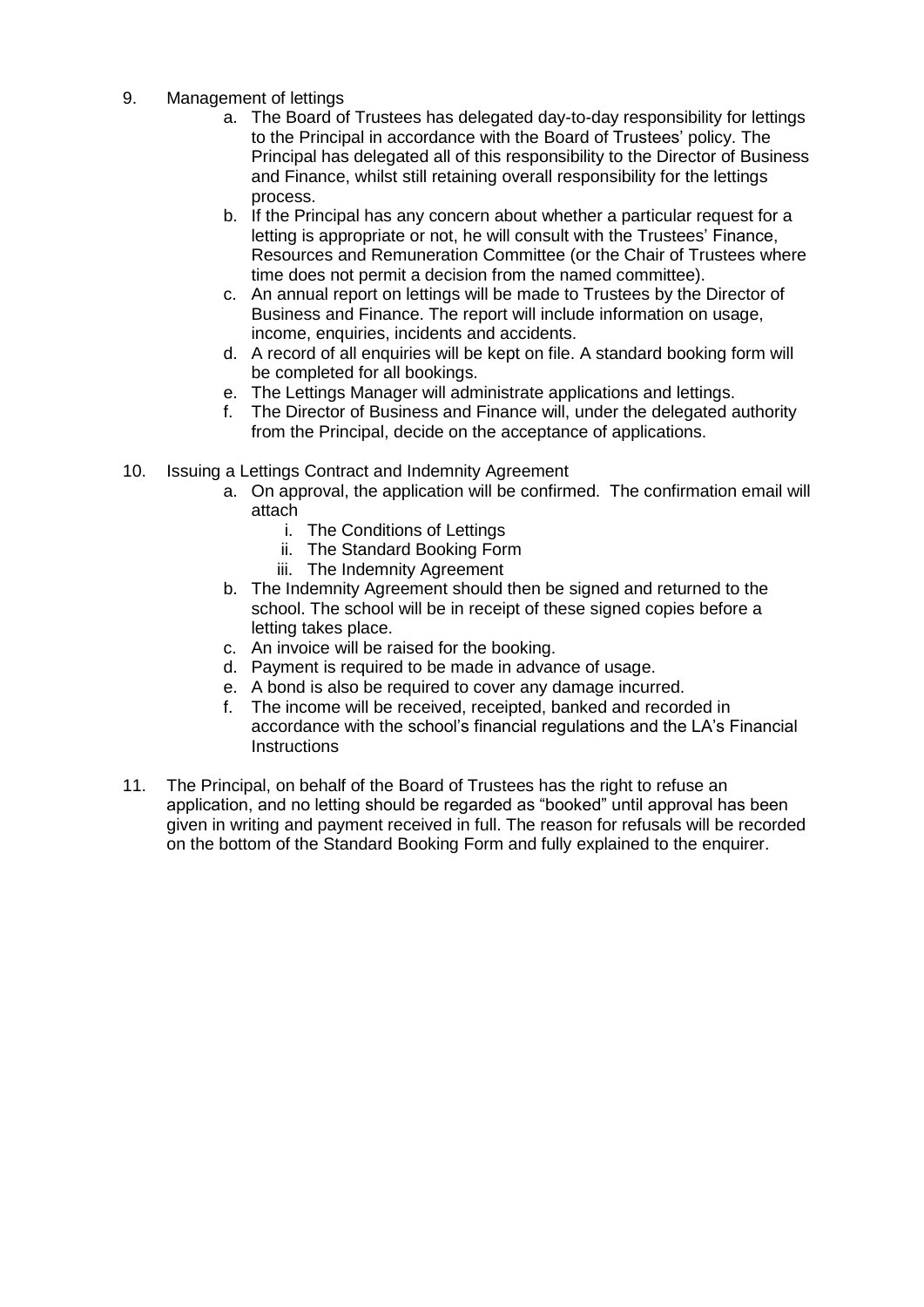- 9. Management of lettings
	- a. The Board of Trustees has delegated day-to-day responsibility for lettings to the Principal in accordance with the Board of Trustees' policy. The Principal has delegated all of this responsibility to the Director of Business and Finance, whilst still retaining overall responsibility for the lettings process.
	- b. If the Principal has any concern about whether a particular request for a letting is appropriate or not, he will consult with the Trustees' Finance, Resources and Remuneration Committee (or the Chair of Trustees where time does not permit a decision from the named committee).
	- c. An annual report on lettings will be made to Trustees by the Director of Business and Finance. The report will include information on usage, income, enquiries, incidents and accidents.
	- d. A record of all enquiries will be kept on file. A standard booking form will be completed for all bookings.
	- e. The Lettings Manager will administrate applications and lettings.
	- f. The Director of Business and Finance will, under the delegated authority from the Principal, decide on the acceptance of applications.
- 10. Issuing a Lettings Contract and Indemnity Agreement
	- a. On approval, the application will be confirmed. The confirmation email will attach
		- i. The Conditions of Lettings
		- ii. The Standard Booking Form
		- iii. The Indemnity Agreement
	- b. The Indemnity Agreement should then be signed and returned to the school. The school will be in receipt of these signed copies before a letting takes place.
	- c. An invoice will be raised for the booking.
	- d. Payment is required to be made in advance of usage.
	- e. A bond is also be required to cover any damage incurred.
	- f. The income will be received, receipted, banked and recorded in accordance with the school's financial regulations and the LA's Financial **Instructions**
- 11. The Principal, on behalf of the Board of Trustees has the right to refuse an application, and no letting should be regarded as "booked" until approval has been given in writing and payment received in full. The reason for refusals will be recorded on the bottom of the Standard Booking Form and fully explained to the enquirer.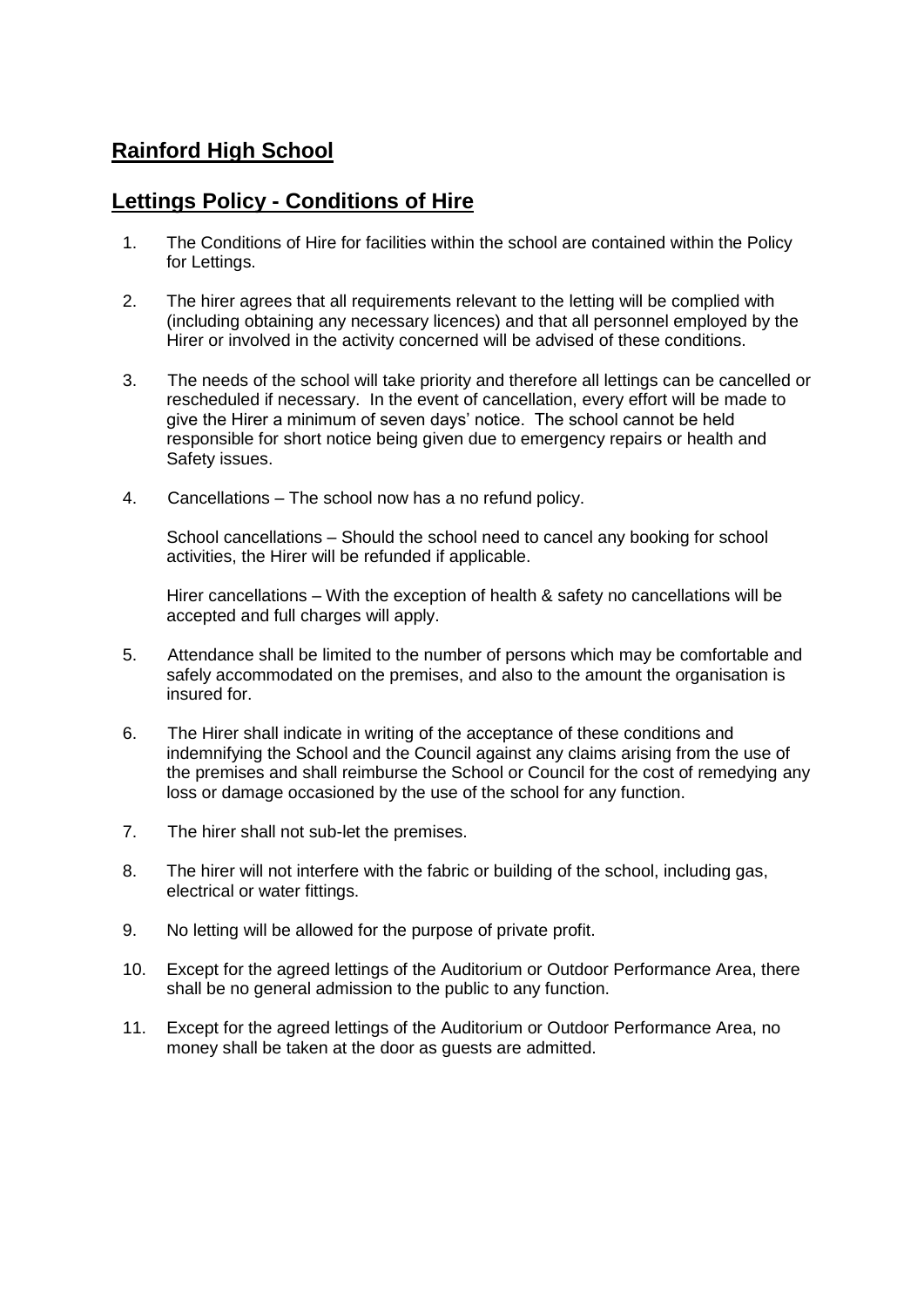### **Rainford High School**

### **Lettings Policy - Conditions of Hire**

- 1. The Conditions of Hire for facilities within the school are contained within the Policy for Lettings.
- 2. The hirer agrees that all requirements relevant to the letting will be complied with (including obtaining any necessary licences) and that all personnel employed by the Hirer or involved in the activity concerned will be advised of these conditions.
- 3. The needs of the school will take priority and therefore all lettings can be cancelled or rescheduled if necessary. In the event of cancellation, every effort will be made to give the Hirer a minimum of seven days' notice. The school cannot be held responsible for short notice being given due to emergency repairs or health and Safety issues.
- 4. Cancellations The school now has a no refund policy.

School cancellations – Should the school need to cancel any booking for school activities, the Hirer will be refunded if applicable.

Hirer cancellations – With the exception of health & safety no cancellations will be accepted and full charges will apply.

- 5. Attendance shall be limited to the number of persons which may be comfortable and safely accommodated on the premises, and also to the amount the organisation is insured for.
- 6. The Hirer shall indicate in writing of the acceptance of these conditions and indemnifying the School and the Council against any claims arising from the use of the premises and shall reimburse the School or Council for the cost of remedying any loss or damage occasioned by the use of the school for any function.
- 7. The hirer shall not sub-let the premises.
- 8. The hirer will not interfere with the fabric or building of the school, including gas, electrical or water fittings.
- 9. No letting will be allowed for the purpose of private profit.
- 10. Except for the agreed lettings of the Auditorium or Outdoor Performance Area, there shall be no general admission to the public to any function.
- 11. Except for the agreed lettings of the Auditorium or Outdoor Performance Area, no money shall be taken at the door as guests are admitted.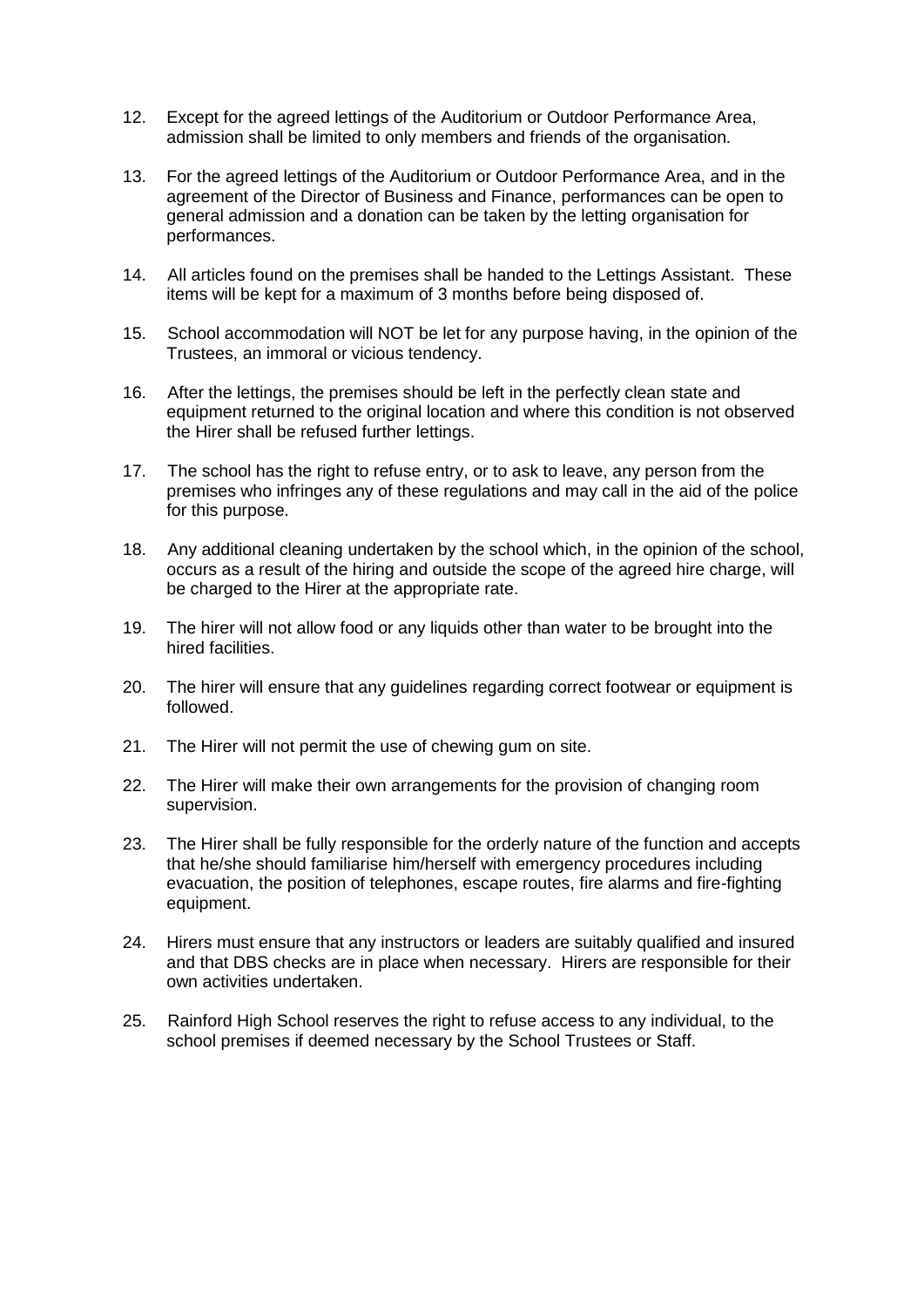- 12. Except for the agreed lettings of the Auditorium or Outdoor Performance Area, admission shall be limited to only members and friends of the organisation.
- 13. For the agreed lettings of the Auditorium or Outdoor Performance Area, and in the agreement of the Director of Business and Finance, performances can be open to general admission and a donation can be taken by the letting organisation for performances.
- 14. All articles found on the premises shall be handed to the Lettings Assistant. These items will be kept for a maximum of 3 months before being disposed of.
- 15. School accommodation will NOT be let for any purpose having, in the opinion of the Trustees, an immoral or vicious tendency.
- 16. After the lettings, the premises should be left in the perfectly clean state and equipment returned to the original location and where this condition is not observed the Hirer shall be refused further lettings.
- 17. The school has the right to refuse entry, or to ask to leave, any person from the premises who infringes any of these regulations and may call in the aid of the police for this purpose.
- 18. Any additional cleaning undertaken by the school which, in the opinion of the school, occurs as a result of the hiring and outside the scope of the agreed hire charge, will be charged to the Hirer at the appropriate rate.
- 19. The hirer will not allow food or any liquids other than water to be brought into the hired facilities.
- 20. The hirer will ensure that any guidelines regarding correct footwear or equipment is followed.
- 21. The Hirer will not permit the use of chewing gum on site.
- 22. The Hirer will make their own arrangements for the provision of changing room supervision.
- 23. The Hirer shall be fully responsible for the orderly nature of the function and accepts that he/she should familiarise him/herself with emergency procedures including evacuation, the position of telephones, escape routes, fire alarms and fire-fighting equipment.
- 24. Hirers must ensure that any instructors or leaders are suitably qualified and insured and that DBS checks are in place when necessary. Hirers are responsible for their own activities undertaken.
- 25. Rainford High School reserves the right to refuse access to any individual, to the school premises if deemed necessary by the School Trustees or Staff.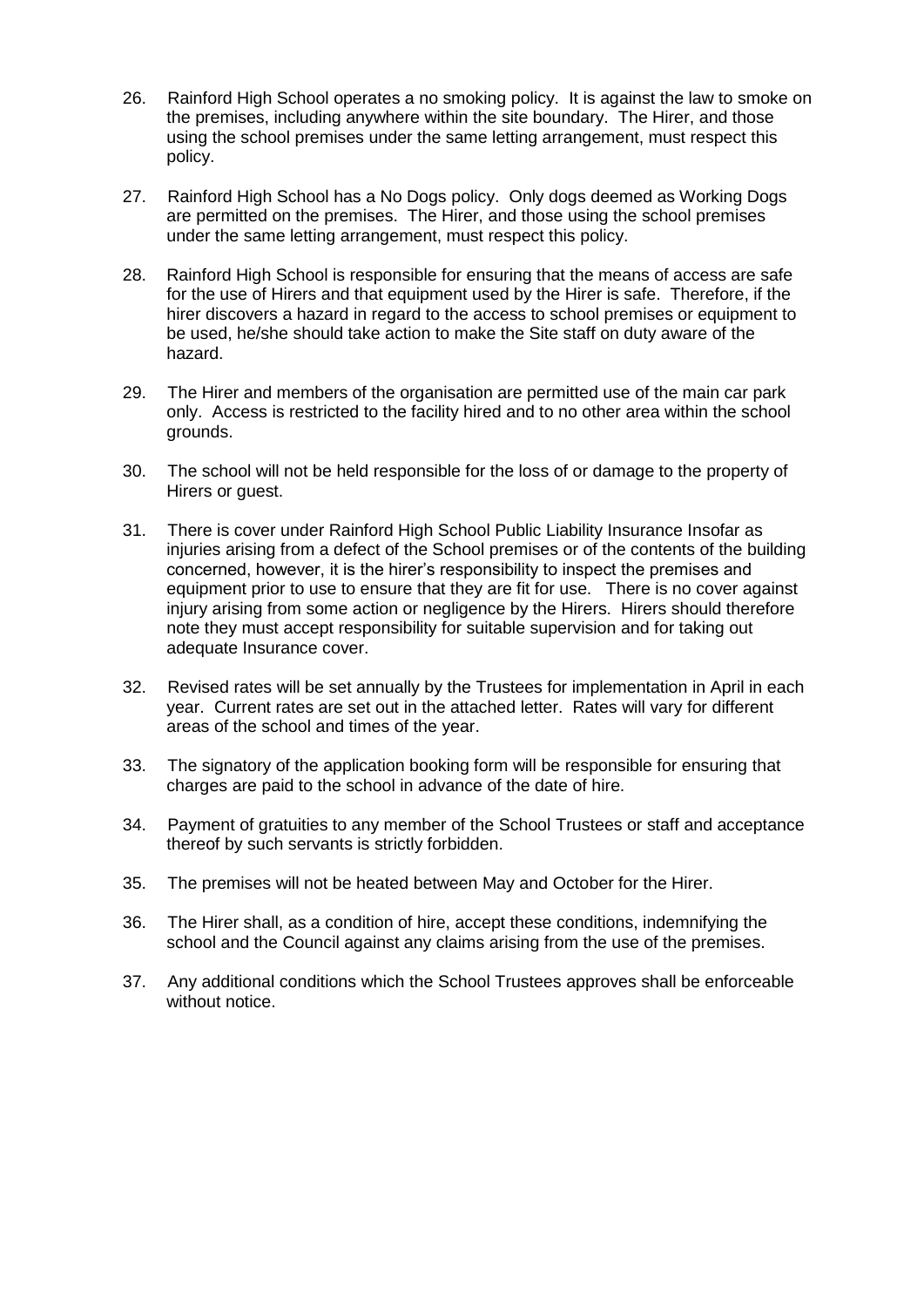- 26. Rainford High School operates a no smoking policy. It is against the law to smoke on the premises, including anywhere within the site boundary. The Hirer, and those using the school premises under the same letting arrangement, must respect this policy.
- 27. Rainford High School has a No Dogs policy. Only dogs deemed as Working Dogs are permitted on the premises. The Hirer, and those using the school premises under the same letting arrangement, must respect this policy.
- 28. Rainford High School is responsible for ensuring that the means of access are safe for the use of Hirers and that equipment used by the Hirer is safe. Therefore, if the hirer discovers a hazard in regard to the access to school premises or equipment to be used, he/she should take action to make the Site staff on duty aware of the hazard.
- 29. The Hirer and members of the organisation are permitted use of the main car park only. Access is restricted to the facility hired and to no other area within the school grounds.
- 30. The school will not be held responsible for the loss of or damage to the property of Hirers or guest.
- 31. There is cover under Rainford High School Public Liability Insurance Insofar as injuries arising from a defect of the School premises or of the contents of the building concerned, however, it is the hirer's responsibility to inspect the premises and equipment prior to use to ensure that they are fit for use. There is no cover against injury arising from some action or negligence by the Hirers. Hirers should therefore note they must accept responsibility for suitable supervision and for taking out adequate Insurance cover.
- 32. Revised rates will be set annually by the Trustees for implementation in April in each year. Current rates are set out in the attached letter. Rates will vary for different areas of the school and times of the year.
- 33. The signatory of the application booking form will be responsible for ensuring that charges are paid to the school in advance of the date of hire.
- 34. Payment of gratuities to any member of the School Trustees or staff and acceptance thereof by such servants is strictly forbidden.
- 35. The premises will not be heated between May and October for the Hirer.
- 36. The Hirer shall, as a condition of hire, accept these conditions, indemnifying the school and the Council against any claims arising from the use of the premises.
- 37. Any additional conditions which the School Trustees approves shall be enforceable without notice.